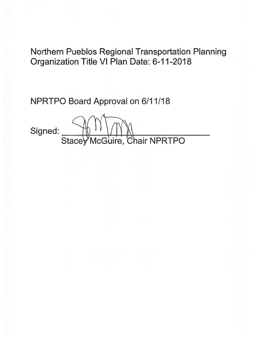Northern Pueblos Regional Transportation Planning Organization Title VI Plan Date: 6-11-2018

NPRTPO Board Approval on 6/11/18

Signed: Stacey McGuire, Chair NPRTPO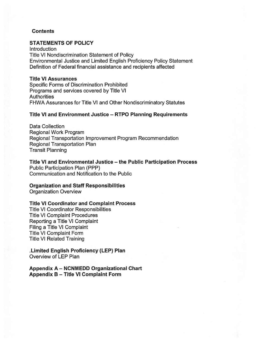#### **Contents**

#### STATEMENTS OF POLICY

**Introduction** Title VI Nondiscrimination Statement of Policy Environmental Justice and Limited English Proficiency Policy Statement Definition of Federal financial assistance and recipients affected

#### Title VI Assurances

Specific Forms of Discrimination Prohibited Programs and services covered by Title VI **Authorities** FHWA Assurances for Title VI and Other Nondiscriminatory Statutes

#### Title VI and Environment Justice — RTPO Planning Requirements

Data Collection Regional Work Program Regional Transportation Improvement Program Recommendation Regional Transportation Plan Transit Planning

Title VI and Environmental Justice — the Public Participation Process Public Participation Plan (PPP)

Communication and Notification to the Public

#### Organization and Staff Responsibilities

Organization Overview

#### Title VI Coordinator and Complaint Process

Title VI Coordinator Responsibilities Title VI Complaint Procedures Reporting <sup>a</sup> Title VI Complaint Filing <sup>a</sup> Title VI Complaint Title VI Complaint Form Title VI Related Training

#### Limited English Proficiency (LEP) Plan Overview of LEP Plan

Appendix A — NCNMEDD Organizational Chart Appendix B — Title VI Complaint Form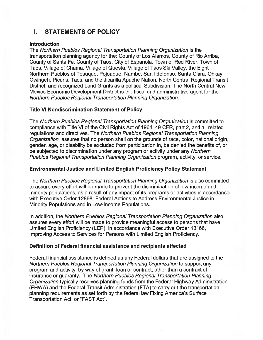# I. STATEMENTS OF POLICY

#### Introduction

The Northern Pueblos Regional Transportation Planning Organization is the transportation planning agency for the: County of Los Alamos, County of Rio Arriba, County of Santa Fe, County of Taos, City of Espanola, Town of Red River, Town of Taos, Village of Chama, Village of Questa, Village of Taos Ski Valley, the Eight Northern Pueblos of Tesuque, Pojoaque, Nambe, San Ildefonso, Santa Clara, Ohkay Owingeh, Picuris, Taos, and the Jicarilla Apache Nation, North Central Regional Transit District, and recognized Land Grants as <sup>a</sup> political Subdivision. The North Central New Mexico Economic Development District is the fiscal and administrative agen<sup>t</sup> for the Northern Pueblos Regional Transportation Planning Organization.

#### Title VI Nondiscrimination Statement of Policy

The Northern Pueblos Regional Transportation Planning Organization is committed to compliance with Title VI of the Civil Rights Act of 1964, 49 CFR, par<sup>t</sup> 2, and all related regulations and directives. The Northern Pueblos Regional Transportation Planning Organization assures that no person shall on the grounds of race, color, national origin, gender, age, or disability be excluded from participation in, be denied the benefits of, or be subjected to discrimination under any program or activity under any Northern Pueblos Regional Transportation Planning Organization program, activity, or service.

#### Environmental Justice and Limited English Proficiency Policy Statement

The Northern Pueblos Regional Transportation Planning Organization is also committed to assure every effort will be made to preven<sup>t</sup> the discrimination of low-income and minority populations, as <sup>a</sup> result of any impact of its programs or activities in accordance with Executive Order 12898, Federal Actions to Address Environmental Justice in Minority Populations and in Low-Income Populations.

In addition, the Northern Pueblos Regional Transportation Planning Organization also assures every effort will be made to provide meaningful access to persons that have Limited English Proficiency (LEP), in accordance with Executive Order 13166, Improving Access to Services for Persons with Limited English Proficiency.

### Definition of Federal financial assistance and recipients affected

Federal financial assistance is defined as any Federal dollars that are assigned to the Northern Pueblos Regional Transportation Planning Organization to suppor<sup>t</sup> any program and activity, by way of grant, loan or contract, other than <sup>a</sup> contract of insurance or guaranty. The Northern Pueblos Regional Transportation Planning Organization typically receives planning funds from the Federal Highway Administration (FHWA) and the Federal Transit Administration (ETA) to carry out the transportation planning requirements as set forth by the federal law Fixing America's Surface Transportation Act, or "FAST Act".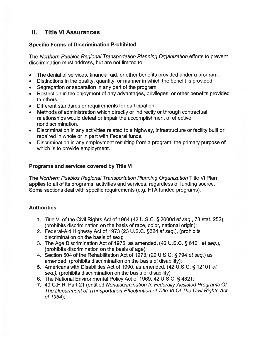# II. Title VI Assurances

## Specific Forms of Discrimination Prohibited

The Northern Pueblos Regional Transportation Planning Organization efforts to preven<sup>t</sup> discrimination must address, but are not limited to:

- •The denial of services, financial aid, or other benefits provided under <sup>a</sup> program.
- Distinctions in the quality, quantity, or manner in which the benefit is provided.
- •Segregation or separation in any par<sup>t</sup> of the program.
- Restriction in the enjoyment of any advantages, privileges, or other benefits provided to others.
- Different standards or requirements for participation.
- • Methods of administration which directly or indirectly or through contractual relationships would defeat or impair the accomplishment of effective nondiscrimination.
- Discrimination in any activities related to <sup>a</sup> highway, infrastructure or facility built or repaired in whole or in par<sup>t</sup> with Federal funds.
- Discrimination in any employment resulting from <sup>a</sup> program, the primary purpose of which is to provide employment.

## Programs and services covered by Title VI

The Northern Pueblos Regional Transportation Planning Organization Title VI Plan applies to all of its programs, activities and services, regardless of funding source. Some sections deal with specific requirements (e.g. FTA funded programs).

## **Authorities**

- 1. Title VI of the Civil Rights Act of <sup>1964</sup> (42 U.S.C. § 2000d et seq., <sup>78</sup> stat. 252), (prohibits discrimination on the basis of race, color, national origin);
- 2. Federal-Aid Highway Act of 1973 (23 U.S.C. §324 et seq.), (prohibits discrimination on the basis of sex);
- 3. The Age Discrimination Act of 1975, as amended, (42 U.S.C. § <sup>6101</sup> et seq.), (prohibits discrimination on the basis of age);
- 4. Section <sup>504</sup> of the Rehabilitation Act of 1973, (29 U.S.C. § <sup>794</sup> et seq.) as amended, (prohibits discrimination on the basis of disability);
- 5. Americans with Disabilities Act of 1990, as amended, (42 U.S.C. § <sup>12101</sup> et seq.), (prohibits discrimination on the basis of disability)
- 6. The National Environmental Policy Act of 1969, <sup>42</sup> U.S.C. § 4321;
- 7. 49 C.F.R. Part 21 (entitled Nondiscrimination In Federally-Assisted Programs Of The Department of Transportation-Effectuation of Title VI Of The Civil Rights Act of 7964);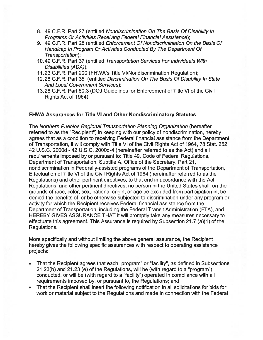- 8. 49 C.F.R. Part 27 (entitled Nondiscrimination On The Basis Of Disability In Programs Or Activities Receiving Federal Financial Assistance);
- 9. 49 C.F.R. Part 28 (entitled Enforcement Of Nondiscrimination On the Basis Of Handicap In Program Or Activities Conducted By The Department Of Transportation);
- 10.49 C.F.R. Part 37 (entitled Transportation Services For Individuals With Disabilities (ADA));
- 11.23 C.F.R. Part 200 (FHWA's Title VI/Nondiscrimination Regulation);
- 12.28 C.F.R. Part 35 (entitled Discrimination On The Basis Of Disability In State And Local Government Services);
- 13.28 C.F.R. Part 50.3 (DOJ Guidelines for Enforcement of Title VI of the Civil Rights Act of 1964).

### FHWA Assurances for Title VI and Other Nondiscriminatory Statutes

The Northern Pueblos Regional Transportation Planning Organization (hereafter referred to as the "Recipient") in keeping with our policy of nondiscrimination, hereby agrees that as <sup>a</sup> condition to receiving Federal financial assistance from the Department of Transportation, it will comply with Title VI of the Civil Rights Act of 1964, 78 Stat. 252, 42 U.S.C. 2000d - 42 U.S.C. 2000d-4 (hereinafter referred to as the Act) and all requirements imposed by or pursuan<sup>t</sup> to: Title 49, Code of Federal Regulations, Department of Transportation, Subtitle A, Office of the Secretary, Part 21, nondiscrimination in Federally-assisted programs of the Department of Transportation, Effectuation of Title VI of the Civil Rights Act of 1964 (hereinafter referred to as the Regulations) and other pertinent directives, to that end in accordance with the Act, Regulations, and other pertinent directives, no person in the United States shall, on the grounds of race, color, sex, national origin, or age be excluded from participation in, be denied the benefits of, or be otherwise subjected to discrimination under any program or activity for which the Recipient receives Federal financial assistance from the Department of Transportation, including the Federal Transit Administration (FTA), and HEREBY GIVES ASSURANCE THAT it will promptly take any measures necessary to effectuate this agreement. This Assurance is required by Subsection 21 .7 (a)(1) of the Regulations.

More specifically and without limiting the above general assurance, the Recipient hereby gives the following specific assurances with respec<sup>t</sup> to operating assistance projects:

- • That the Recipient agrees that each "program" or "facility", as defined in Subsections 21.23(b) and 21.23 (e) of the Regulations, will be (with regard to <sup>a</sup> "program") conducted, or will be (with regard to <sup>a</sup> "facility") operated in compliance with all requirements imposed by, or pursuan<sup>t</sup> to, the Regulations; and
- That the Recipient shall insert the following notification in all solicitations for bids for work or material subject to the Regulations and made in connection with the Federal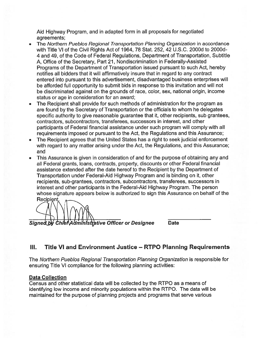Aid Highway Program, and in adapted form in all proposals for negotiated agreements;

- • The Northern Pueblos Regional Transportation Planning Organization in accordance with Title VI of the Civil Rights Act of 1964, 78 Stat. 252, 42 U.S.C. 2000d to 2000d-4 and 49, of the Code of Federal Regulations, Department of Transportation, Subtitle A, Office of the Secretary, Part 21, Nondiscrimination in Federally-Assisted Programs of the Department of Transportation issued pursuan<sup>t</sup> to such Act, hereby notifies all bidders that it will affirmatively insure that in regard to any contract entered into pursuan<sup>t</sup> to this advertisement, disadvantaged business enterprises will be afforded full opportunity to submit bids in response to this invitation and will not be discriminated against on the grounds of race, color, sex, national origin, income status or age in consideration for an award;
- • The Recipient shall provide for such methods of administration for the program as are found by the Secretary of Transportation or the officials to whom he delegates specific authority to give reasonable guarantee that it, other recipients, sub grantees, contractors, subcontractors, transferees, successors in interest, and other participants of Federal financial assistance under such program will comply with all requirements imposed or pursuan<sup>t</sup> to the Act, the Regulations and this Assurance;
- • The Recipient agrees that the United States has <sup>a</sup> right to seek judicial enforcement with regard to any matter arising under the Act, the Regulations, and this Assurance; and
- This Assurance is given in consideration of and for the purpose of obtaining any and •all Federal grants, loans, contracts, property, discounts or other Federal financial assistance extended after the date hereof to the Recipient by the Department of Transportation under Federal-Aid Highway Program and is binding on it, other recipients, sub-grantees, contractors, subcontractors, transferees, successors in interest and other participants in the Federal-Aid Highway Program. The person whose signature appears below is authorized to sign this Assurance on behalf of the Recipient.

Signed by Chief Administrative Officer or Designee Date

# III. Title VI and Environment Justice — RTPO Planning Requirements

The Northern Pueblos Regional Transportation Planning Organization is responsible for ensuring Title VI compliance for the following planning activities:

### Data Collection

Census and other statistical data will be collected by the RTPO as <sup>a</sup> means of identifying low income and minority populations within the RTPO. The data will be maintained for the purpose of planning projects and programs that serve various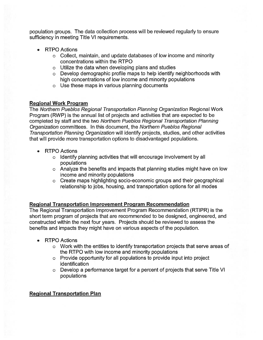population groups. The data collection process will be reviewed regularly to ensure sufficiency in meeting Title VI requirements.

- RTPO Actions
	- <sup>o</sup> Collect, maintain, and update databases of low income and minority concentrations within the RTPO
	- <sup>o</sup> Utilize the data when developing plans and studies
	- <sup>o</sup> Develop demographic profile maps to help identify neighborhoods with high concentrations of low income and minority populations
	- <sup>o</sup> Use these maps in various planning documents

## Regional Work Program

The Northern Pueblos Regional Transportation Planning Organization Regional Work Program (RWP) is the annual list of projects and activities that are expected to be completed by staff and the two Northern Pueblos Regional Transportation Planning Organization committees. In this document, the Northern Pueblos Regional Transportation Planning Organization will identify projects, studies, and other activities that will provide more transportation options to disadvantaged populations.

- • RTPO Actions
	- <sup>o</sup> Identify planning activities that will encourage involvement by all populations
	- <sup>o</sup> Analyze the benefits and impacts that planning studies might have on low income and minority populations
	- <sup>o</sup> Create maps highlighting socio-economic groups and their geographical relationship to jobs, housing, and transportation options for all modes

### Regional Transportation Improvement Program Recommendation

The Regional Transportation Improvement Program Recommendation (RTIPR) is the short term program of projects that are recommended to be designed, engineered, and constructed within the next four years. Projects should be reviewed to assess the benefits and impacts they might have on various aspects of the population.

- • RTPO Actions
	- <sup>o</sup> Work with the entities to identify transportation projects that serve areas of the RIPO with low income and minority populations
	- <sup>o</sup> Provide opportunity for all populations to provide input into project identification
	- <sup>o</sup> Develop <sup>a</sup> performance target for <sup>a</sup> percen<sup>t</sup> of projects that serve Title VI populations

## Regional Transportation Plan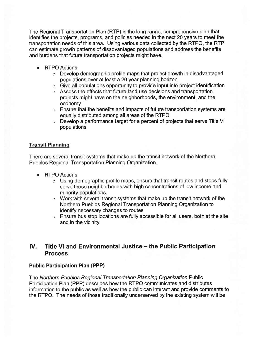The Regional Transportation Plan (RTP) is the long range, comprehensive plan that identifies the projects, programs, and policies needed in the next 20 years to meet the transportation needs of this area. Using various data collected by the RTPO, the RTP can estimate growth patterns of disadvantaged populations and address the benefits and burdens that future transportation projects might have.

- RTPO Actions
	- <sup>o</sup> Develop demographic profile maps that project growth in disadvantaged populations over at least <sup>a</sup> 20 year planning horizon
	- <sup>o</sup> Give all populations opportunity to provide input into project identification
	- <sup>o</sup> Assess the effects that future land use decisions and transportation projects might have on the neighborhoods, the environment, and the economy
	- <sup>o</sup> Ensure that the benefits and impacts of future transportation systems are equally distributed among all areas of the RTPO
	- <sup>o</sup> Develop <sup>a</sup> performance target for <sup>a</sup> percen<sup>t</sup> of projects that serve Title VI populations

### Transit Planning

There are several transit systems that make up the transit network of the Northern Pueblos Regional Transportation Planning Organization.

- • RTPO Actions
	- <sup>o</sup> Using demographic profile maps, ensure that transit routes and stops fully serve those neighborhoods with high concentrations of low income and minority populations.
	- <sup>o</sup> Work with several transit systems that make up the transit network of the Northern Pueblos Regional Transportation Planning Organization to identify necessary changes to routes
	- <sup>o</sup> Ensure bus stop locations are fully accessible for all users, both at the site and in the vicinity

## IV. Title VI and Environmental Justice — the Public Participation Process

### Public Participation Plan (PPP)

The Northern Pueblos Regional Transportation Planning Organization Public Participation Plan (PPP) describes how the RTPO communicates and distributes information to the public as well as how the public can interact and provide comments to the RTPO. The needs of those traditionally underserved by the existing system will be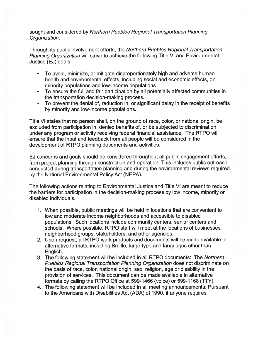sought and considered by Northern Pueblos Regional Transportation Planning Organization.

Through its public involvement efforts, the Northern Pueblos Regional Transportation Planning Organization will strive to achieve the following Title VI and Environmental Justice (EJ) goals:

- • To avoid, minimize, or mitigate disproportionately high and adverse human health and environmental effects, including social and economic effects, on minority populations and low-income populations.
- • To ensure the full and fair participation by all potentially affected communities in the transportation decision-making process.
- To preven<sup>t</sup> the denial of, reduction in, or significant delay in the receipt of benefits by minority and low-income populations.

Title VI states that no person shall, on the ground of race, color, or national origin, be excluded from participation in, denied benefits of, or be subjected to discrimination under any program or activity receiving federal financial assistance. The RTPO will ensure that the input and feedback from all people will be considered in the development of RTPO planning documents and activities.

EJ concerns and goals should be considered throughout all public engagemen<sup>t</sup> efforts, from project planning through construction and operation. This includes public outreach conducted during transportation planning and during the environmental reviews required by the National Environmental Policy Act (NEPA).

The following actions relating to Environmental Justice and Title VI are meant to reduce the barriers for participation in the decision-making process by low income, minority or disabled individuals.

- 1. When possible, public meetings will be held in locations that are convenient to low and moderate income neighborhoods and accessible to disabled populations. Such locations include community centers, senior centers and schools. Where possible, RTPO staff will meet at the locations of businesses, neighborhood groups, stakeholders, and other agencies.
- 2. Upon request, all RTPO work products and documents will be made available in alternative formats, including Braille, large type and languages other than English.
- 3. The following statement will be included in all RTPO documents: The Northern Pueblos Regional Transportation Planning Organization does not discriminate on the basis of race, color, national origin, sex, religion, age or disability in the provision of services. This document can be made available in alternative formats by calling the RTPO Office at 599-1466 (voice) or 599-1168 (TTY).
- 4. The following statement will be included in all meeting announcements: Pursuant to the Americans with Disabilities Act (ADA) of 1990, if anyone requires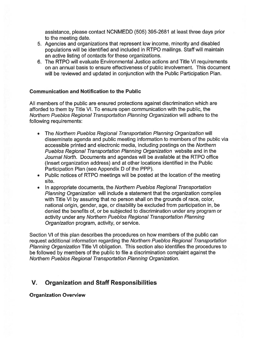assistance, please contact NON MEDD (505) 395-2681 at least three days prior to the meeting date.

- 5. Agencies and organizations that represen<sup>t</sup> low income, minority and disabled populations will be identified and included in RTPO mailings. Staff will maintain an active listing of contacts for these organizations.
- 6. The RTPO will evaluate Environmental Justice actions and Title VI requirements on an annual basis to ensure effectiveness of public involvement. This document will be reviewed and updated in conjunction with the Public Participation Plan.

## Communication and Notification to the Public

All members of the public are ensured protections against discrimination which are afforded to them by Title VI. To ensure open communication with the public, the Northern Pueblos Regional Transportation Planning Organization will adhere to the following requirements:

- • The Northern Pueblos Regional Transportation Planning Organization will disseminate agenda and public meeting information to members of the public via accessible printed and electronic media, including postings on the Northern Pueblos Regional Transportation Planning Organization website and in the Journal North. Documents and agendas will be available at the RTPO office (Insert organization address) and at other locations identified in the Public Participation Plan (see Appendix D of the PPP).
- Public notices of RTPO meetings will be posted at the location of the meeting site.
- • In appropriate documents, the Northern Pueblos Regional Transportation Planning Organization will include <sup>a</sup> statement that the organization complies with Title VI by assuring that no person shall on the grounds of race, color, national origin, gender, age, or disability be excluded from participation in, be denied the benefits of, or be subjected to discrimination under any program or activity under any Northern Pueblos Regional Transportation Planning Organization program, activity, or service.

Section VI of this plan describes the procedures on how members of the public can reques<sup>t</sup> additional information regarding the Northern Pueblos Regional Transportation Planning Organization Title VI obligation. This section also identifies the procedures to be followed by members of the public to file <sup>a</sup> discrimination complaint against the Northern Pueblos Regional Transportation Planning Organization.

# V. Organization and Staff Responsibilities

Organization Overview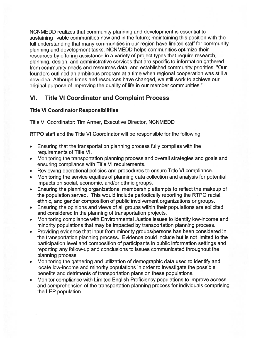NCNMEDD realizes that community planning and development is essential to sustaining livable communities now and in the future; maintaining this position with the full understanding that many communities in our region have limited staff for community planning and development tasks. NCNMEDD helps communities optimize their resources by offering assistance in <sup>a</sup> variety of project types that require research, planning, design, and administrative services that are specific to information gathered from community needs and resources data, and established community priorities. "Our founders outlined an ambitious program at <sup>a</sup> time when regional cooperation was still <sup>a</sup> new idea. Although times and resources have changed, we still work to achieve our original purpose of improving the quality of life in our member communities."

# VI. Title VI Coordinator and Complaint Process

## Title VI Coordinator Responsibilities

Title VI Coordinator: Tim Armer, Executive Director, NCNMEDD

RTPO staff and the Title VI Coordinator will be responsible for the following:

- • Ensuring that the transportation planning process fully complies with the requirements of Title VI.
- • Monitoring the transportation planning process and overall strategies and goals and ensuring compliance with Title VI requirements.
- •Reviewing operational policies and procedures to ensure Title VI compliance.
- • Monitoring the service equities of planning data collection and analysis for potential impacts on social, economic, and/or ethnic groups.
- • Ensuring the planning organizational membership attempts to reflect the makeup of the population served. This would include periodically reporting the RTPO racial, ethnic, and gender composition of public involvement organizations or groups.
- • Ensuring the opinions and views of all groups within their populations are solicited and considered in the planning of transportation projects.
- • Monitoring compliance with Environmental Justice issues to identify low-income and minority populations that may be impacted by transportation planning process.
- • Providing evidence that input from minority groups/persons has been considered in the transportation planning process. Evidence could include but is not limited to the participation level and composition of participants in public information settings and reporting any follow-up and conclusions to issues communicated throughout the planning process.
- • Monitoring the gathering and utilization of demographic data used to identify and locate low-income and minority populations in order to investigate the possible benefits and detriments of transportation plans on these populations.
- • Monitor compliance with Limited English Proficiency populations to improve access and comprehension of the transportation planning process for individuals comprising the LEP population.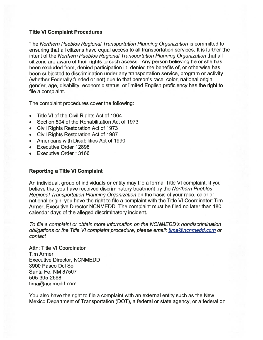#### Title VI Complaint Procedures

The Northern Pueblos Regional Transportation Planning Organization is committed to ensuring that all citizens have equal access to all transportation services. It is further the intent of the Northern Pueblos Regional Transportation Planning Organization that all citizens are aware of their rights to such access. Any person believing he or she has been excluded from, denied participation in, denied the benefits of, or otherwise has been subjected to discrimination under any transportation service, program or activity (whether Federally funded or not) due to that person's race, color, national origin, gender, age, disability, economic status, or limited English proficiency has the right to file <sup>a</sup> complaint.

The complaint procedures cover the following:

- •Title VI of the Civil Rights Act of 1964
- Section 504 of the Rehabilitation Act of 1973
- Civil Rights Restoration Act of 1973
- Civil Rights Restoration Act of 1987
- Americans with Disabilities Act of 1990
- Executive Order 12898
- Executive Order 13166

## Reporting <sup>a</sup> Title VI Complaint

An individual, group of individuals or entity may file <sup>a</sup> formal Title VI complaint. If you believe that you have received discriminatory treatment by the Northern Pueblos Regional Transportation Planning Organization on the basis of your race, color or national origin, you have the right to file <sup>a</sup> complaint with the Title VI Coordinator: Tim Armer, Executive Director NCNMEDD. The complaint must be filed no later than 180 calendar days of the alleged discriminatory incident.

To file <sup>a</sup> complaint or obtain more information on the NCNMEDD's nondiscrimination obligations or the Title VI complaint procedure, please email: tima@ncnmedd.com or contact

Attn: Title VI Coordinator Tim Armer Executive Director, NCNMEDD 3900 Paseo Del Sol Santa Fe, NM 87507 505-395-2668 tima@ncnmedd.com

You also have the right to file <sup>a</sup> complaint with an external entity such as the New Mexico Department of Transportation (DOT), <sup>a</sup> federal or state agency, or <sup>a</sup> federal or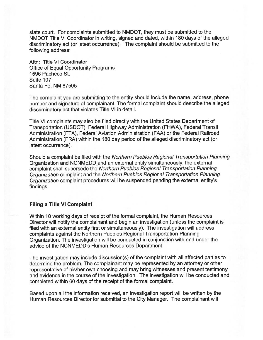state court. For complaints submitted to NMDOT, they must be submitted to the NMDOT Title VI Coordinator in writing, signed and dated, within 180 days of the alleged discriminatory act (or latest occurrence). The complaint should be submitted to the following address:

Attn: Title VI Coordinator Office of Equal Opportunity Programs 1596 Pacheco St. Suite 107 Santa Fe, NM 87505

The complaint you are submitting to the entity should include the name, address, <sup>p</sup>hone number and signature of complainant. The formal complaint should describe the alleged discriminatory act that violates Title VI in detail.

Title VI complaints may also be filed directly with the United States Department of Transportation (USDOT), Federal Highway Administration (FHWA), Federal Transit Administration (FTA), Federal Aviation Administration (FAA) or the Federal Railroad Administration (ERA) within the 180 day period of the alleged discriminatory act (or latest occurrence).

Should <sup>a</sup> complaint be filed with the Northern Pueblos Regional Transportation Planning Organization and NCNMEDD and an external entity simultaneously, the external complaint shall supersede the Northern Pueblos Regional Transportation Planning Organization complaint and the Northern Pueblos Regional Transportation Planning Organization complaint procedures will be suspended pending the external entity's findings.

#### Filing <sup>a</sup> Title VI Complaint

Within 10 working days of receipt of the formal complaint, the Human Resources Director will notify the complainant and begin an investigation (unless the complaint is filed with an external entity first or simultaneously). The investigation will address complaints against the Northern Pueblos Regional Transportation Planning Organization. The investigation will be conducted in conjunction with and under the advice of the NCNMEDD's Human Resources Department.

The investigation may include discussion(s) of the complaint with all affected parties to determine the problem. The complainant may be represented by an attorney or other representative of his/her own choosing and may bring witnesses and presen<sup>t</sup> testimony and evidence in the course of the investigation. The investigation will be conducted and completed within 60 days of the receipt of the formal complaint.

Based upon all the information received, an investigation repor<sup>t</sup> will be written by the Human Resources Director for submittal to the City Manager. The complainant will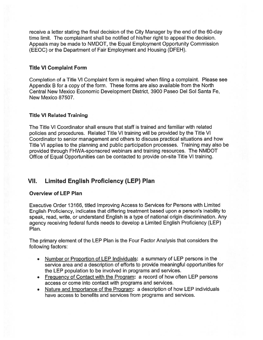receive <sup>a</sup> letter stating the final decision of the City Manager by the end of the 60-day time limit. The complainant shall be notified of his/her right to appeal the decision. Appeals may be made to NMDOT, the Equal Employment Opportunity Commission (EEOC) or the Department of Fair Employment and Housing (DFEH).

#### Title VI Complaint Form

Completion of <sup>a</sup> Title VI Complaint form is required when filing <sup>a</sup> complaint. Please see Appendix <sup>B</sup> for <sup>a</sup> copy of the form. These forms are also available from the North Central New Mexico Economic Development District, 3900 Paseo Del Sol Santa Fe, New Mexico 87507.

### Title VI Related Training

The Title VI Coordinator shall ensure that staff is trained and familiar with related policies and procedures. Related Title VI training will be provided by the Title VI Coordinator to senior managemen<sup>t</sup> and others to discuss practical situations and how Title VI applies to the planning and public participation processes. Training may also be provided through FHWA-sponsored webinars and training resources. The NMDOT Office of Equal Opportunities can be contacted to provide on-site Title VI training.

# VII. Limited English Proficiency (LEP) Plan

### Overview of LEP Plan

Executive Order 13166, titled Improving Access to Services for Persons with Limited English Proficiency, indicates that differing treatment based upon <sup>a</sup> person's inability to speak, read, write, or understand English is <sup>a</sup> type of national origin discrimination. Any agency receiving federal funds needs to develop <sup>a</sup> Limited English Proficiency (LEP) Plan.

The primary element of the LEP Plan is the Four Factor Analysis that considers the following factors:

- Number or Proportion of LEP Individuals: <sup>a</sup> summary of LEP persons in the service area and <sup>a</sup> description of efforts to provide meaningful opportunities for the LEP population to be involved in programs and services.
- •Frequency of Contact with the Program: a record of how often LEP persons access or come into contact with programs and services.
- • Nature and Importance of the Program: <sup>a</sup> description of how LEP individuals have access to benefits and services from programs and services.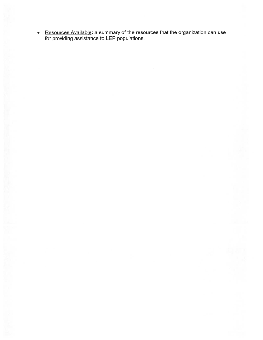• <u>Resources Available</u>: a summary of the resources that the organization can use for providing assistance to LEP populations.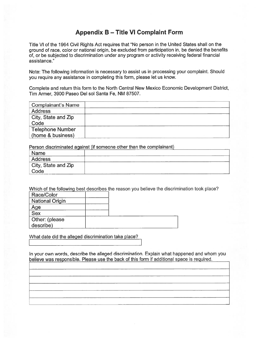# Appendix B — Title VI Complaint Form

|                                                   | <b>Appendix B – Title VI Complaint Form</b>                                                                                                                                                                                                                                                                |
|---------------------------------------------------|------------------------------------------------------------------------------------------------------------------------------------------------------------------------------------------------------------------------------------------------------------------------------------------------------------|
| assistance."                                      | Title VI of the 1964 Civil Rights Act requires that "No person in the United States shall on the<br>ground of race, color or national origin, be excluded from participation in, be denied the benefits<br>of, or be subjected to discrimination under any program or activity receiving federal financial |
|                                                   | Note: The following information is necessary to assist us in processing your complaint. Should<br>you require any assistance in completing this form, please let us know.                                                                                                                                  |
| Tim Armer, 3900 Paseo Del sol Santa Fe, NM 87507. | Complete and return this form to the North Central New Mexico Economic Development District,                                                                                                                                                                                                               |
| <b>Complainant's Name</b>                         |                                                                                                                                                                                                                                                                                                            |
| <b>Address</b>                                    |                                                                                                                                                                                                                                                                                                            |
| City, State and Zip<br>Code                       |                                                                                                                                                                                                                                                                                                            |
| <b>Telephone Number</b><br>(home & business)      |                                                                                                                                                                                                                                                                                                            |
|                                                   | Person discriminated against (if someone other than the complainant)                                                                                                                                                                                                                                       |
| <b>Name</b>                                       |                                                                                                                                                                                                                                                                                                            |
| <b>Address</b>                                    |                                                                                                                                                                                                                                                                                                            |
| City, State and Zip<br>Code                       |                                                                                                                                                                                                                                                                                                            |
| Race/Color                                        | Which of the following best describes the reason you believe the discrimination took place?                                                                                                                                                                                                                |
| <b>National Origin</b>                            |                                                                                                                                                                                                                                                                                                            |
| Age                                               |                                                                                                                                                                                                                                                                                                            |
| <b>Sex</b>                                        |                                                                                                                                                                                                                                                                                                            |

| Name                |  |
|---------------------|--|
| Address             |  |
| City, State and Zip |  |
| Code                |  |

| Race/Color              |  |
|-------------------------|--|
| <b>National Origin</b>  |  |
| Age                     |  |
| $\overline{\text{Sex}}$ |  |
| Other: (please          |  |
| describe)               |  |

What date did the alleged discrimination take place?

In your own words, describe the alleged discrimination. Explain what happened and whom you believe was responsible. Please use the back of this form if additional space is required.